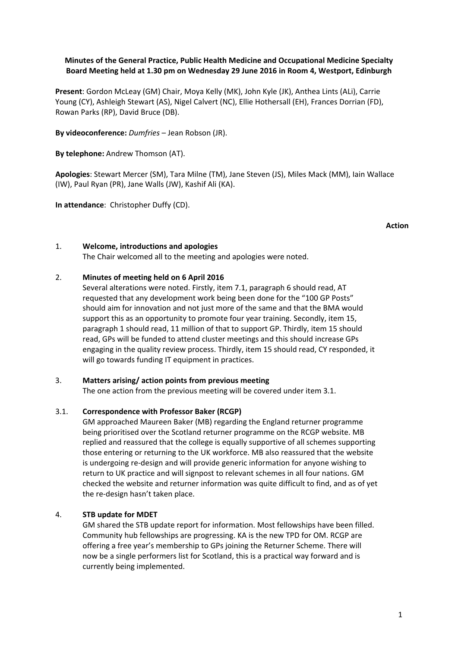# **Minutes of the General Practice, Public Health Medicine and Occupational Medicine Specialty Board Meeting held at 1.30 pm on Wednesday 29 June 2016 in Room 4, Westport, Edinburgh**

**Present**: Gordon McLeay (GM) Chair, Moya Kelly (MK), John Kyle (JK), Anthea Lints (ALi), Carrie Young (CY), Ashleigh Stewart (AS), Nigel Calvert (NC), Ellie Hothersall (EH), Frances Dorrian (FD), Rowan Parks (RP), David Bruce (DB).

**By videoconference:** *Dumfries* – Jean Robson (JR).

**By telephone:** Andrew Thomson (AT).

**Apologies**: Stewart Mercer (SM), Tara Milne (TM), Jane Steven (JS), Miles Mack (MM), Iain Wallace (IW), Paul Ryan (PR), Jane Walls (JW), Kashif Ali (KA).

**In attendance**: Christopher Duffy (CD).

### 1. **Welcome, introductions and apologies**

The Chair welcomed all to the meeting and apologies were noted.

### 2. **Minutes of meeting held on 6 April 2016**

Several alterations were noted. Firstly, item 7.1, paragraph 6 should read, AT requested that any development work being been done for the "100 GP Posts" should aim for innovation and not just more of the same and that the BMA would support this as an opportunity to promote four year training. Secondly, item 15, paragraph 1 should read, 11 million of that to support GP. Thirdly, item 15 should read, GPs will be funded to attend cluster meetings and this should increase GPs engaging in the quality review process. Thirdly, item 15 should read, CY responded, it will go towards funding IT equipment in practices.

### 3. **Matters arising/ action points from previous meeting**

The one action from the previous meeting will be covered under item 3.1.

### 3.1. **Correspondence with Professor Baker (RCGP)**

GM approached Maureen Baker (MB) regarding the England returner programme being prioritised over the Scotland returner programme on the RCGP website. MB replied and reassured that the college is equally supportive of all schemes supporting those entering or returning to the UK workforce. MB also reassured that the website is undergoing re‐design and will provide generic information for anyone wishing to return to UK practice and will signpost to relevant schemes in all four nations. GM checked the website and returner information was quite difficult to find, and as of yet the re‐design hasn't taken place.

### 4. **STB update for MDET**

GM shared the STB update report for information. Most fellowships have been filled. Community hub fellowships are progressing. KA is the new TPD for OM. RCGP are offering a free year's membership to GPs joining the Returner Scheme. There will now be a single performers list for Scotland, this is a practical way forward and is currently being implemented.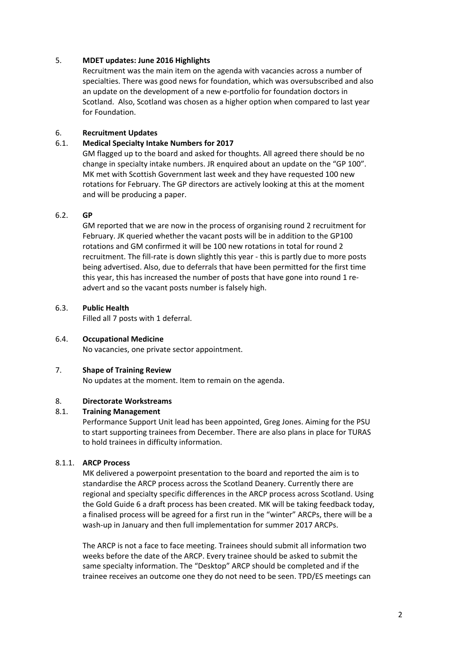## 5. **MDET updates: June 2016 Highlights**

Recruitment was the main item on the agenda with vacancies across a number of specialties. There was good news for foundation, which was oversubscribed and also an update on the development of a new e‐portfolio for foundation doctors in Scotland. Also, Scotland was chosen as a higher option when compared to last year for Foundation.

# 6. **Recruitment Updates**

## 6.1. **Medical Specialty Intake Numbers for 2017**

GM flagged up to the board and asked for thoughts. All agreed there should be no change in specialty intake numbers. JR enquired about an update on the "GP 100". MK met with Scottish Government last week and they have requested 100 new rotations for February. The GP directors are actively looking at this at the moment and will be producing a paper.

### 6.2. **GP**

GM reported that we are now in the process of organising round 2 recruitment for February. JK queried whether the vacant posts will be in addition to the GP100 rotations and GM confirmed it will be 100 new rotations in total for round 2 recruitment. The fill-rate is down slightly this year - this is partly due to more posts being advertised. Also, due to deferrals that have been permitted for the first time this year, this has increased the number of posts that have gone into round 1 readvert and so the vacant posts number is falsely high.

### 6.3. **Public Health**

Filled all 7 posts with 1 deferral.

### 6.4. **Occupational Medicine**

No vacancies, one private sector appointment.

### 7. **Shape of Training Review**

No updates at the moment. Item to remain on the agenda.

### 8. **Directorate Workstreams**

### 8.1. **Training Management**

Performance Support Unit lead has been appointed, Greg Jones. Aiming for the PSU to start supporting trainees from December. There are also plans in place for TURAS to hold trainees in difficulty information.

# 8.1.1. **ARCP Process**

MK delivered a powerpoint presentation to the board and reported the aim is to standardise the ARCP process across the Scotland Deanery. Currently there are regional and specialty specific differences in the ARCP process across Scotland. Using the Gold Guide 6 a draft process has been created. MK will be taking feedback today, a finalised process will be agreed for a first run in the "winter" ARCPs, there will be a wash-up in January and then full implementation for summer 2017 ARCPs.

The ARCP is not a face to face meeting. Trainees should submit all information two weeks before the date of the ARCP. Every trainee should be asked to submit the same specialty information. The "Desktop" ARCP should be completed and if the trainee receives an outcome one they do not need to be seen. TPD/ES meetings can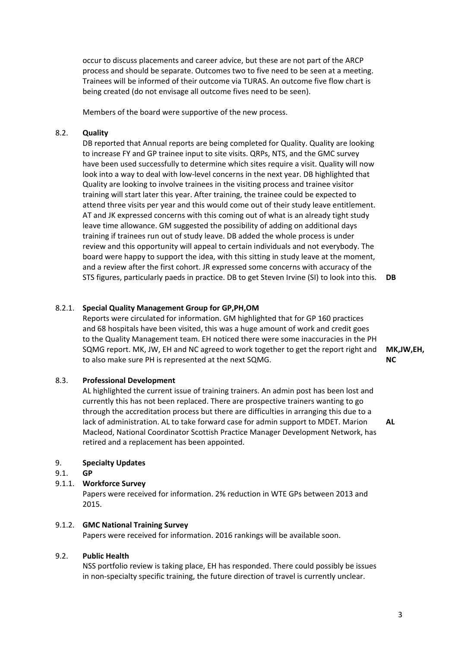occur to discuss placements and career advice, but these are not part of the ARCP process and should be separate. Outcomes two to five need to be seen at a meeting. Trainees will be informed of their outcome via TURAS. An outcome five flow chart is being created (do not envisage all outcome fives need to be seen).

Members of the board were supportive of the new process.

## 8.2. **Quality**

DB reported that Annual reports are being completed for Quality. Quality are looking to increase FY and GP trainee input to site visits. QRPs, NTS, and the GMC survey have been used successfully to determine which sites require a visit. Quality will now look into a way to deal with low‐level concerns in the next year. DB highlighted that Quality are looking to involve trainees in the visiting process and trainee visitor training will start later this year. After training, the trainee could be expected to attend three visits per year and this would come out of their study leave entitlement. AT and JK expressed concerns with this coming out of what is an already tight study leave time allowance. GM suggested the possibility of adding on additional days training if trainees run out of study leave. DB added the whole process is under review and this opportunity will appeal to certain individuals and not everybody. The board were happy to support the idea, with this sitting in study leave at the moment, and a review after the first cohort. JR expressed some concerns with accuracy of the STS figures, particularly paeds in practice. DB to get Steven Irvine (SI) to look into this. **DB**

### 8.2.1. **Special Quality Management Group for GP,PH,OM**

Reports were circulated for information. GM highlighted that for GP 160 practices and 68 hospitals have been visited, this was a huge amount of work and credit goes to the Quality Management team. EH noticed there were some inaccuracies in the PH SQMG report. MK, JW, EH and NC agreed to work together to get the report right and **MK,JW,EH,** to also make sure PH is represented at the next SQMG.

### 8.3. **Professional Development**

AL highlighted the current issue of training trainers. An admin post has been lost and currently this has not been replaced. There are prospective trainers wanting to go through the accreditation process but there are difficulties in arranging this due to a lack of administration. AL to take forward case for admin support to MDET. Marion Macleod, National Coordinator Scottish Practice Manager Development Network, has retired and a replacement has been appointed.

#### 9. **Specialty Updates**

#### 9.1. **GP**

### 9.1.1. **Workforce Survey**

Papers were received for information. 2% reduction in WTE GPs between 2013 and 2015.

### 9.1.2. **GMC National Training Survey**

Papers were received for information. 2016 rankings will be available soon.

### 9.2. **Public Health**

NSS portfolio review is taking place, EH has responded. There could possibly be issues in non‐specialty specific training, the future direction of travel is currently unclear.

**NC**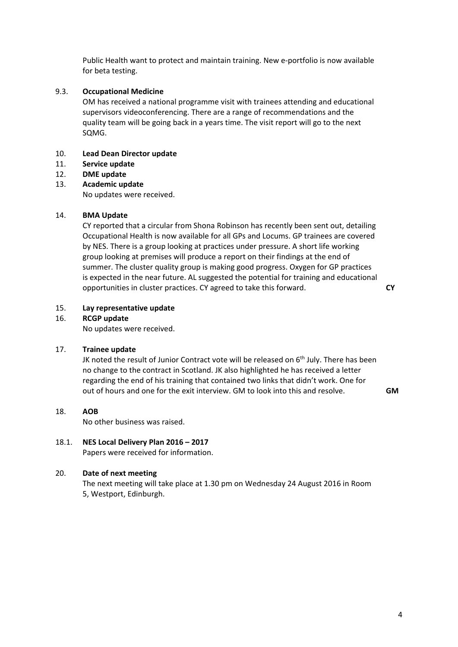Public Health want to protect and maintain training. New e‐portfolio is now available for beta testing.

# 9.3. **Occupational Medicine**

OM has received a national programme visit with trainees attending and educational supervisors videoconferencing. There are a range of recommendations and the quality team will be going back in a years time. The visit report will go to the next SQMG.

#### 10. **Lead Dean Director update**

- 11. **Service update**
- 12. **DME update**

#### 13. **Academic update**

No updates were received.

#### 14. **BMA Update**

CY reported that a circular from Shona Robinson has recently been sent out, detailing Occupational Health is now available for all GPs and Locums. GP trainees are covered by NES. There is a group looking at practices under pressure. A short life working group looking at premises will produce a report on their findings at the end of summer. The cluster quality group is making good progress. Oxygen for GP practices is expected in the near future. AL suggested the potential for training and educational opportunities in cluster practices. CY agreed to take this forward.

**CY**

#### 15. **Lay representative update**

### 16. **RCGP update**

No updates were received.

### 17. **Trainee update**

JK noted the result of Junior Contract vote will be released on 6<sup>th</sup> July. There has been no change to the contract in Scotland. JK also highlighted he has received a letter regarding the end of his training that contained two links that didn't work. One for out of hours and one for the exit interview. GM to look into this and resolve. **GM**

#### 18. **AOB**

No other business was raised.

### 18.1. **NES Local Delivery Plan 2016 – 2017** Papers were received for information.

# 20. **Date of next meeting**

The next meeting will take place at 1.30 pm on Wednesday 24 August 2016 in Room 5, Westport, Edinburgh.